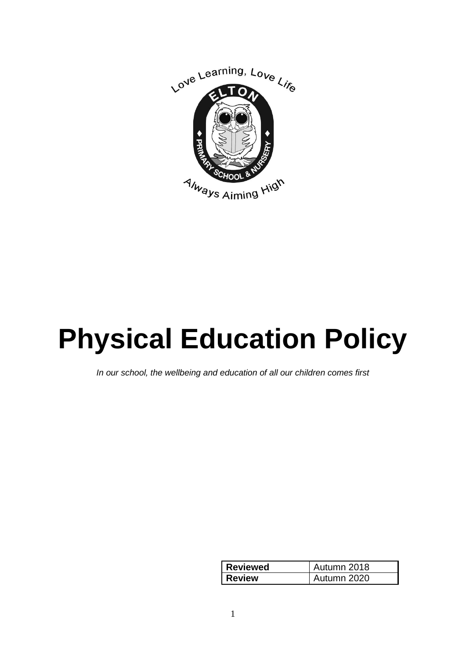

# **Physical Education Policy**

*In our school, the wellbeing and education of all our children comes first*

| <b>Reviewed</b> | Autumn 2018 |
|-----------------|-------------|
| <b>Review</b>   | Autumn 2020 |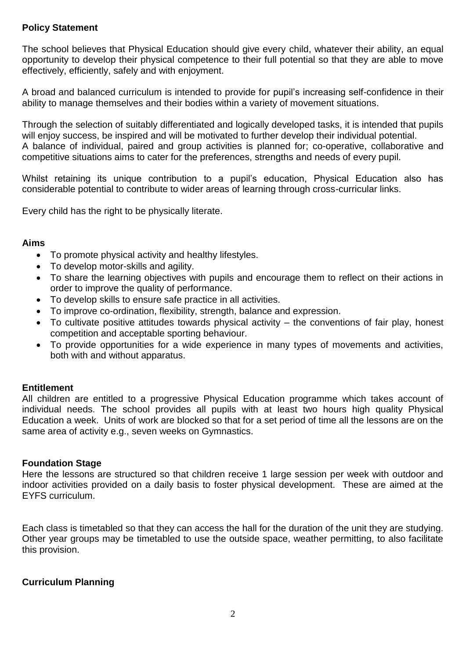## **Policy Statement**

The school believes that Physical Education should give every child, whatever their ability, an equal opportunity to develop their physical competence to their full potential so that they are able to move effectively, efficiently, safely and with enjoyment.

A broad and balanced curriculum is intended to provide for pupil's increasing self-confidence in their ability to manage themselves and their bodies within a variety of movement situations.

Through the selection of suitably differentiated and logically developed tasks, it is intended that pupils will enjoy success, be inspired and will be motivated to further develop their individual potential. A balance of individual, paired and group activities is planned for; co-operative, collaborative and competitive situations aims to cater for the preferences, strengths and needs of every pupil.

Whilst retaining its unique contribution to a pupil's education, Physical Education also has considerable potential to contribute to wider areas of learning through cross-curricular links.

Every child has the right to be physically literate.

## **Aims**

- To promote physical activity and healthy lifestyles.
- To develop motor-skills and agility.
- To share the learning objectives with pupils and encourage them to reflect on their actions in order to improve the quality of performance.
- To develop skills to ensure safe practice in all activities.
- To improve co-ordination, flexibility, strength, balance and expression.
- To cultivate positive attitudes towards physical activity  $-$  the conventions of fair play, honest competition and acceptable sporting behaviour.
- To provide opportunities for a wide experience in many types of movements and activities, both with and without apparatus.

## **Entitlement**

All children are entitled to a progressive Physical Education programme which takes account of individual needs. The school provides all pupils with at least two hours high quality Physical Education a week. Units of work are blocked so that for a set period of time all the lessons are on the same area of activity e.g., seven weeks on Gymnastics.

## **Foundation Stage**

Here the lessons are structured so that children receive 1 large session per week with outdoor and indoor activities provided on a daily basis to foster physical development. These are aimed at the EYFS curriculum.

Each class is timetabled so that they can access the hall for the duration of the unit they are studying. Other year groups may be timetabled to use the outside space, weather permitting, to also facilitate this provision.

## **Curriculum Planning**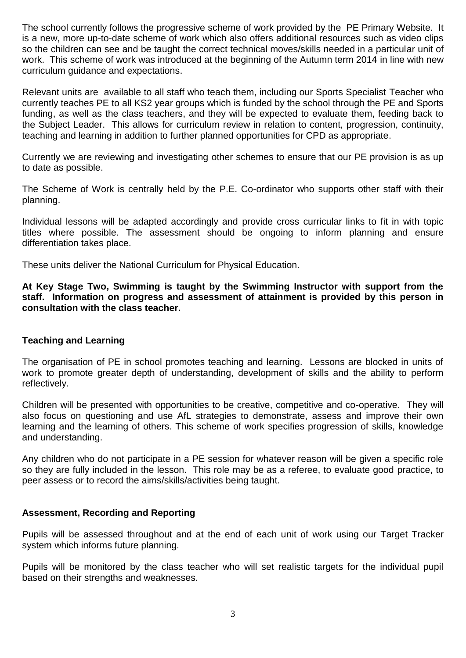The school currently follows the progressive scheme of work provided by the PE Primary Website. It is a new, more up-to-date scheme of work which also offers additional resources such as video clips so the children can see and be taught the correct technical moves/skills needed in a particular unit of work. This scheme of work was introduced at the beginning of the Autumn term 2014 in line with new curriculum guidance and expectations.

Relevant units are available to all staff who teach them, including our Sports Specialist Teacher who currently teaches PE to all KS2 year groups which is funded by the school through the PE and Sports funding, as well as the class teachers, and they will be expected to evaluate them, feeding back to the Subject Leader. This allows for curriculum review in relation to content, progression, continuity, teaching and learning in addition to further planned opportunities for CPD as appropriate.

Currently we are reviewing and investigating other schemes to ensure that our PE provision is as up to date as possible.

The Scheme of Work is centrally held by the P.E. Co-ordinator who supports other staff with their planning.

Individual lessons will be adapted accordingly and provide cross curricular links to fit in with topic titles where possible. The assessment should be ongoing to inform planning and ensure differentiation takes place.

These units deliver the National Curriculum for Physical Education.

**At Key Stage Two, Swimming is taught by the Swimming Instructor with support from the staff. Information on progress and assessment of attainment is provided by this person in consultation with the class teacher.**

## **Teaching and Learning**

The organisation of PE in school promotes teaching and learning. Lessons are blocked in units of work to promote greater depth of understanding, development of skills and the ability to perform reflectively.

Children will be presented with opportunities to be creative, competitive and co-operative. They will also focus on questioning and use AfL strategies to demonstrate, assess and improve their own learning and the learning of others. This scheme of work specifies progression of skills, knowledge and understanding.

Any children who do not participate in a PE session for whatever reason will be given a specific role so they are fully included in the lesson. This role may be as a referee, to evaluate good practice, to peer assess or to record the aims/skills/activities being taught.

## **Assessment, Recording and Reporting**

Pupils will be assessed throughout and at the end of each unit of work using our Target Tracker system which informs future planning.

Pupils will be monitored by the class teacher who will set realistic targets for the individual pupil based on their strengths and weaknesses.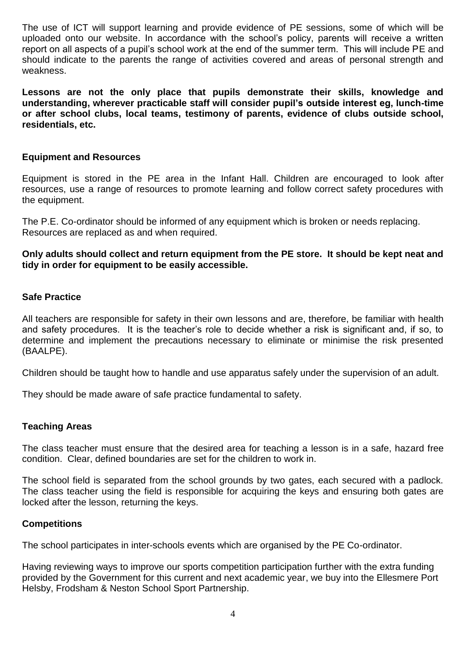The use of ICT will support learning and provide evidence of PE sessions, some of which will be uploaded onto our website. In accordance with the school's policy, parents will receive a written report on all aspects of a pupil's school work at the end of the summer term. This will include PE and should indicate to the parents the range of activities covered and areas of personal strength and weakness.

**Lessons are not the only place that pupils demonstrate their skills, knowledge and understanding, wherever practicable staff will consider pupil's outside interest eg, lunch-time or after school clubs, local teams, testimony of parents, evidence of clubs outside school, residentials, etc.**

# **Equipment and Resources**

Equipment is stored in the PE area in the Infant Hall. Children are encouraged to look after resources, use a range of resources to promote learning and follow correct safety procedures with the equipment.

The P.E. Co-ordinator should be informed of any equipment which is broken or needs replacing. Resources are replaced as and when required.

**Only adults should collect and return equipment from the PE store. It should be kept neat and tidy in order for equipment to be easily accessible.**

# **Safe Practice**

All teachers are responsible for safety in their own lessons and are, therefore, be familiar with health and safety procedures. It is the teacher's role to decide whether a risk is significant and, if so, to determine and implement the precautions necessary to eliminate or minimise the risk presented (BAALPE).

Children should be taught how to handle and use apparatus safely under the supervision of an adult.

They should be made aware of safe practice fundamental to safety.

## **Teaching Areas**

The class teacher must ensure that the desired area for teaching a lesson is in a safe, hazard free condition. Clear, defined boundaries are set for the children to work in.

The school field is separated from the school grounds by two gates, each secured with a padlock. The class teacher using the field is responsible for acquiring the keys and ensuring both gates are locked after the lesson, returning the keys.

#### **Competitions**

The school participates in inter-schools events which are organised by the PE Co-ordinator.

Having reviewing ways to improve our sports competition participation further with the extra funding provided by the Government for this current and next academic year, we buy into the Ellesmere Port Helsby, Frodsham & Neston School Sport Partnership.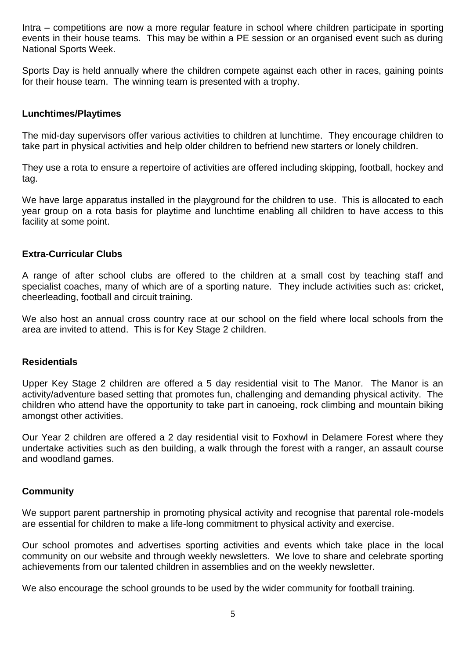Intra – competitions are now a more regular feature in school where children participate in sporting events in their house teams. This may be within a PE session or an organised event such as during National Sports Week.

Sports Day is held annually where the children compete against each other in races, gaining points for their house team. The winning team is presented with a trophy.

#### **Lunchtimes/Playtimes**

The mid-day supervisors offer various activities to children at lunchtime. They encourage children to take part in physical activities and help older children to befriend new starters or lonely children.

They use a rota to ensure a repertoire of activities are offered including skipping, football, hockey and tag.

We have large apparatus installed in the playground for the children to use. This is allocated to each year group on a rota basis for playtime and lunchtime enabling all children to have access to this facility at some point.

#### **Extra-Curricular Clubs**

A range of after school clubs are offered to the children at a small cost by teaching staff and specialist coaches, many of which are of a sporting nature. They include activities such as: cricket, cheerleading, football and circuit training.

We also host an annual cross country race at our school on the field where local schools from the area are invited to attend. This is for Key Stage 2 children.

#### **Residentials**

Upper Key Stage 2 children are offered a 5 day residential visit to The Manor. The Manor is an activity/adventure based setting that promotes fun, challenging and demanding physical activity. The children who attend have the opportunity to take part in canoeing, rock climbing and mountain biking amongst other activities.

Our Year 2 children are offered a 2 day residential visit to Foxhowl in Delamere Forest where they undertake activities such as den building, a walk through the forest with a ranger, an assault course and woodland games.

#### **Community**

We support parent partnership in promoting physical activity and recognise that parental role-models are essential for children to make a life-long commitment to physical activity and exercise.

Our school promotes and advertises sporting activities and events which take place in the local community on our website and through weekly newsletters. We love to share and celebrate sporting achievements from our talented children in assemblies and on the weekly newsletter.

We also encourage the school grounds to be used by the wider community for football training.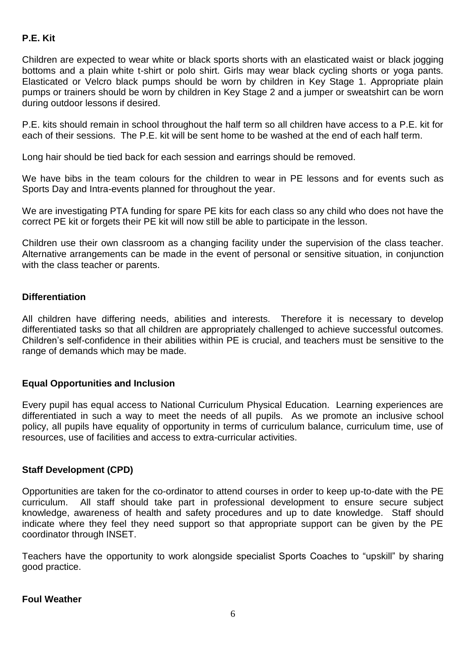# **P.E. Kit**

Children are expected to wear white or black sports shorts with an elasticated waist or black jogging bottoms and a plain white t-shirt or polo shirt. Girls may wear black cycling shorts or yoga pants. Elasticated or Velcro black pumps should be worn by children in Key Stage 1. Appropriate plain pumps or trainers should be worn by children in Key Stage 2 and a jumper or sweatshirt can be worn during outdoor lessons if desired.

P.E. kits should remain in school throughout the half term so all children have access to a P.E. kit for each of their sessions. The P.E. kit will be sent home to be washed at the end of each half term.

Long hair should be tied back for each session and earrings should be removed.

We have bibs in the team colours for the children to wear in PE lessons and for events such as Sports Day and Intra-events planned for throughout the year.

We are investigating PTA funding for spare PE kits for each class so any child who does not have the correct PE kit or forgets their PE kit will now still be able to participate in the lesson.

Children use their own classroom as a changing facility under the supervision of the class teacher. Alternative arrangements can be made in the event of personal or sensitive situation, in conjunction with the class teacher or parents.

## **Differentiation**

All children have differing needs, abilities and interests. Therefore it is necessary to develop differentiated tasks so that all children are appropriately challenged to achieve successful outcomes. Children's self-confidence in their abilities within PE is crucial, and teachers must be sensitive to the range of demands which may be made.

## **Equal Opportunities and Inclusion**

Every pupil has equal access to National Curriculum Physical Education. Learning experiences are differentiated in such a way to meet the needs of all pupils. As we promote an inclusive school policy, all pupils have equality of opportunity in terms of curriculum balance, curriculum time, use of resources, use of facilities and access to extra-curricular activities.

## **Staff Development (CPD)**

Opportunities are taken for the co-ordinator to attend courses in order to keep up-to-date with the PE curriculum. All staff should take part in professional development to ensure secure subject knowledge, awareness of health and safety procedures and up to date knowledge. Staff should indicate where they feel they need support so that appropriate support can be given by the PE coordinator through INSET.

Teachers have the opportunity to work alongside specialist Sports Coaches to "upskill" by sharing good practice.

## **Foul Weather**